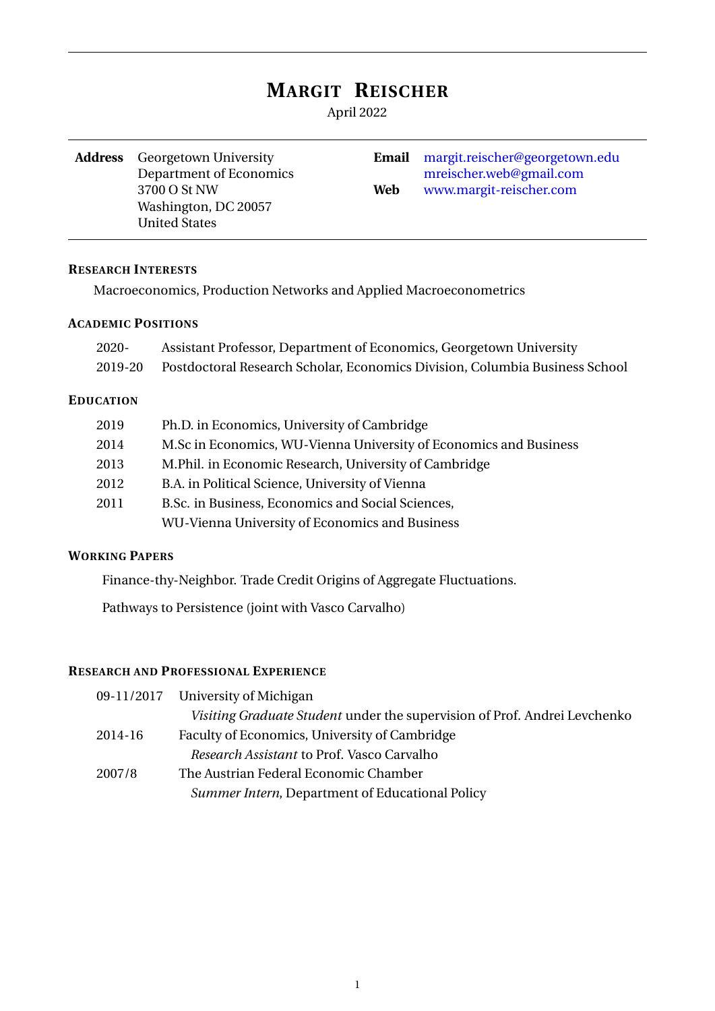# **MARGIT REISCHER**

April 2022

Washington, DC 20057 United States

**Address** Georgetown University **Email** [margit.reischer@georgetown.edu](mailto:margit.reischer@georgetown.edu) Department of Economics [mreischer.web@gmail.com](mailto:mreischer.web@gmail.com) 3700 O St NW **Web** [www.margit-reischer.com](https://margit-reischer.com/)

#### **RESEARCH INTERESTS**

Macroeconomics, Production Networks and Applied Macroeconometrics

## **ACADEMIC POSITIONS**

| 2020-            | Assistant Professor, Department of Economics, Georgetown University         |  |  |
|------------------|-----------------------------------------------------------------------------|--|--|
| 2019-20          | Postdoctoral Research Scholar, Economics Division, Columbia Business School |  |  |
| <b>EDUCATION</b> |                                                                             |  |  |
| 2019             | Ph.D. in Economics, University of Cambridge                                 |  |  |
| 2014             | M.Sc in Economics, WU-Vienna University of Economics and Business           |  |  |
| 2013             | M. Phil. in Economic Research, University of Cambridge                      |  |  |
| 2012             | B.A. in Political Science, University of Vienna                             |  |  |
| 2011             | B.Sc. in Business, Economics and Social Sciences,                           |  |  |

WU-Vienna University of Economics and Business

#### **WORKING PAPERS**

Finance-thy-Neighbor. Trade Credit Origins of Aggregate Fluctuations.

Pathways to Persistence (joint with Vasco Carvalho)

#### **RESEARCH AND PROFESSIONAL EXPERIENCE**

|         | 09-11/2017 University of Michigan                                         |
|---------|---------------------------------------------------------------------------|
|         | Visiting Graduate Student under the supervision of Prof. Andrei Levchenko |
| 2014-16 | Faculty of Economics, University of Cambridge                             |
|         | <i>Research Assistant</i> to Prof. Vasco Carvalho                         |
| 2007/8  | The Austrian Federal Economic Chamber                                     |
|         | Summer Intern, Department of Educational Policy                           |